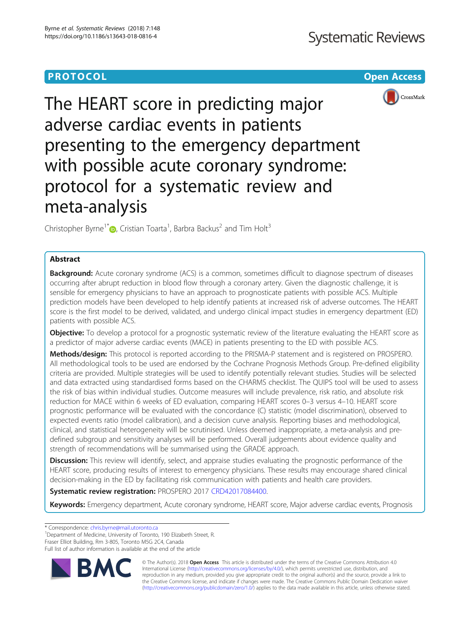# **PROTOCOL CONSUMING THE CONSUMING TEACHER CONSUMING THE CONSUMING TEACHER CONSUMING THE CONSUMING TEACHER CONSUMING THE CONSUMING TEACHER CONSUMING THE CONSUMING THE CONSUMING TEACHER CONSUMING THE CONSUMING THE CONSUMIN**



The HEART score in predicting major adverse cardiac events in patients presenting to the emergency department with possible acute coronary syndrome: protocol for a systematic review and meta-analysis

Christopher Byrne<sup>1[\\*](http://orcid.org/0000-0002-2289-8064)</sup> , Cristian Toarta<sup>1</sup>, Barbra Backus<sup>2</sup> and Tim Holt<sup>3</sup>

# Abstract

**Background:** Acute coronary syndrome (ACS) is a common, sometimes difficult to diagnose spectrum of diseases occurring after abrupt reduction in blood flow through a coronary artery. Given the diagnostic challenge, it is sensible for emergency physicians to have an approach to prognosticate patients with possible ACS. Multiple prediction models have been developed to help identify patients at increased risk of adverse outcomes. The HEART score is the first model to be derived, validated, and undergo clinical impact studies in emergency department (ED) patients with possible ACS.

**Objective:** To develop a protocol for a prognostic systematic review of the literature evaluating the HEART score as a predictor of major adverse cardiac events (MACE) in patients presenting to the ED with possible ACS.

Methods/design: This protocol is reported according to the PRISMA-P statement and is registered on PROSPERO. All methodological tools to be used are endorsed by the Cochrane Prognosis Methods Group. Pre-defined eligibility criteria are provided. Multiple strategies will be used to identify potentially relevant studies. Studies will be selected and data extracted using standardised forms based on the CHARMS checklist. The QUIPS tool will be used to assess the risk of bias within individual studies. Outcome measures will include prevalence, risk ratio, and absolute risk reduction for MACE within 6 weeks of ED evaluation, comparing HEART scores 0–3 versus 4–10. HEART score prognostic performance will be evaluated with the concordance (C) statistic (model discrimination), observed to expected events ratio (model calibration), and a decision curve analysis. Reporting biases and methodological, clinical, and statistical heterogeneity will be scrutinised. Unless deemed inappropriate, a meta-analysis and predefined subgroup and sensitivity analyses will be performed. Overall judgements about evidence quality and strength of recommendations will be summarised using the GRADE approach.

Discussion: This review will identify, select, and appraise studies evaluating the prognostic performance of the HEART score, producing results of interest to emergency physicians. These results may encourage shared clinical decision-making in the ED by facilitating risk communication with patients and health care providers.

Systematic review registration: PROSPERO 2017 [CRD42017084400.](http://www.crd.york.ac.uk/PROSPERO/display_record.php?ID=CRD42017084400)

Keywords: Emergency department, Acute coronary syndrome, HEART score, Major adverse cardiac events, Prognosis

\* Correspondence: [chris.byrne@mail.utoronto.ca](mailto:chris.byrne@mail.utoronto.ca) <sup>1</sup>

<sup>1</sup>Department of Medicine, University of Toronto, 190 Elizabeth Street, R. Fraser Elliot Building, Rm 3-805, Toronto M5G 2C4, Canada

Full list of author information is available at the end of the article



© The Author(s). 2018 Open Access This article is distributed under the terms of the Creative Commons Attribution 4.0 International License [\(http://creativecommons.org/licenses/by/4.0/](http://creativecommons.org/licenses/by/4.0/)), which permits unrestricted use, distribution, and reproduction in any medium, provided you give appropriate credit to the original author(s) and the source, provide a link to the Creative Commons license, and indicate if changes were made. The Creative Commons Public Domain Dedication waiver [\(http://creativecommons.org/publicdomain/zero/1.0/](http://creativecommons.org/publicdomain/zero/1.0/)) applies to the data made available in this article, unless otherwise stated.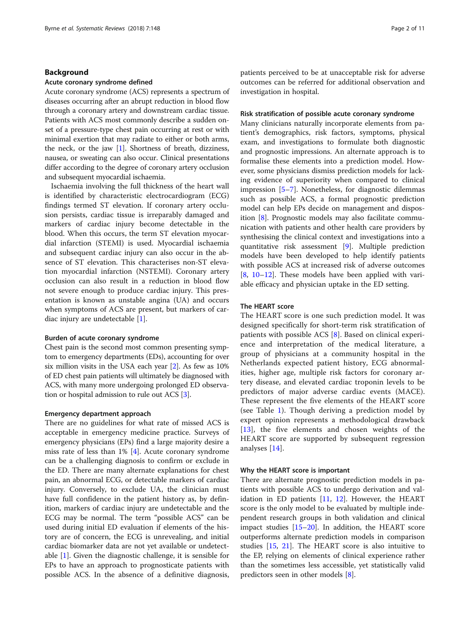# Background

# Acute coronary syndrome defined

Acute coronary syndrome (ACS) represents a spectrum of diseases occurring after an abrupt reduction in blood flow through a coronary artery and downstream cardiac tissue. Patients with ACS most commonly describe a sudden onset of a pressure-type chest pain occurring at rest or with minimal exertion that may radiate to either or both arms, the neck, or the jaw [\[1](#page-9-0)]. Shortness of breath, dizziness, nausea, or sweating can also occur. Clinical presentations differ according to the degree of coronary artery occlusion and subsequent myocardial ischaemia.

Ischaemia involving the full thickness of the heart wall is identified by characteristic electrocardiogram (ECG) findings termed ST elevation. If coronary artery occlusion persists, cardiac tissue is irreparably damaged and markers of cardiac injury become detectable in the blood. When this occurs, the term ST elevation myocardial infarction (STEMI) is used. Myocardial ischaemia and subsequent cardiac injury can also occur in the absence of ST elevation. This characterises non-ST elevation myocardial infarction (NSTEMI). Coronary artery occlusion can also result in a reduction in blood flow not severe enough to produce cardiac injury. This presentation is known as unstable angina (UA) and occurs when symptoms of ACS are present, but markers of cardiac injury are undetectable [[1](#page-9-0)].

### Burden of acute coronary syndrome

Chest pain is the second most common presenting symptom to emergency departments (EDs), accounting for over six million visits in the USA each year [[2](#page-9-0)]. As few as 10% of ED chest pain patients will ultimately be diagnosed with ACS, with many more undergoing prolonged ED observation or hospital admission to rule out ACS [\[3](#page-9-0)].

# Emergency department approach

There are no guidelines for what rate of missed ACS is acceptable in emergency medicine practice. Surveys of emergency physicians (EPs) find a large majority desire a miss rate of less than 1% [[4](#page-9-0)]. Acute coronary syndrome can be a challenging diagnosis to confirm or exclude in the ED. There are many alternate explanations for chest pain, an abnormal ECG, or detectable markers of cardiac injury. Conversely, to exclude UA, the clinician must have full confidence in the patient history as, by definition, markers of cardiac injury are undetectable and the ECG may be normal. The term "possible ACS" can be used during initial ED evaluation if elements of the history are of concern, the ECG is unrevealing, and initial cardiac biomarker data are not yet available or undetectable [[1\]](#page-9-0). Given the diagnostic challenge, it is sensible for EPs to have an approach to prognosticate patients with possible ACS. In the absence of a definitive diagnosis, patients perceived to be at unacceptable risk for adverse outcomes can be referred for additional observation and investigation in hospital.

### Risk stratification of possible acute coronary syndrome

Many clinicians naturally incorporate elements from patient's demographics, risk factors, symptoms, physical exam, and investigations to formulate both diagnostic and prognostic impressions. An alternate approach is to formalise these elements into a prediction model. However, some physicians dismiss prediction models for lacking evidence of superiority when compared to clinical impression [[5](#page-9-0)–[7](#page-9-0)]. Nonetheless, for diagnostic dilemmas such as possible ACS, a formal prognostic prediction model can help EPs decide on management and disposition [[8](#page-9-0)]. Prognostic models may also facilitate communication with patients and other health care providers by synthesising the clinical context and investigations into a quantitative risk assessment [[9](#page-9-0)]. Multiple prediction models have been developed to help identify patients with possible ACS at increased risk of adverse outcomes [[8,](#page-9-0) [10](#page-9-0)–[12\]](#page-9-0). These models have been applied with variable efficacy and physician uptake in the ED setting.

# The HEART score

The HEART score is one such prediction model. It was designed specifically for short-term risk stratification of patients with possible ACS [[8\]](#page-9-0). Based on clinical experience and interpretation of the medical literature, a group of physicians at a community hospital in the Netherlands expected patient history, ECG abnormalities, higher age, multiple risk factors for coronary artery disease, and elevated cardiac troponin levels to be predictors of major adverse cardiac events (MACE). These represent the five elements of the HEART score (see Table [1\)](#page-2-0). Though deriving a prediction model by expert opinion represents a methodological drawback [[13\]](#page-10-0), the five elements and chosen weights of the HEART score are supported by subsequent regression analyses [[14\]](#page-10-0).

### Why the HEART score is important

There are alternate prognostic prediction models in patients with possible ACS to undergo derivation and validation in ED patients [[11](#page-9-0), [12](#page-9-0)]. However, the HEART score is the only model to be evaluated by multiple independent research groups in both validation and clinical impact studies  $[15–20]$  $[15–20]$  $[15–20]$  $[15–20]$  $[15–20]$ . In addition, the HEART score outperforms alternate prediction models in comparison studies [[15,](#page-10-0) [21](#page-10-0)]. The HEART score is also intuitive to the EP, relying on elements of clinical experience rather than the sometimes less accessible, yet statistically valid predictors seen in other models [[8\]](#page-9-0).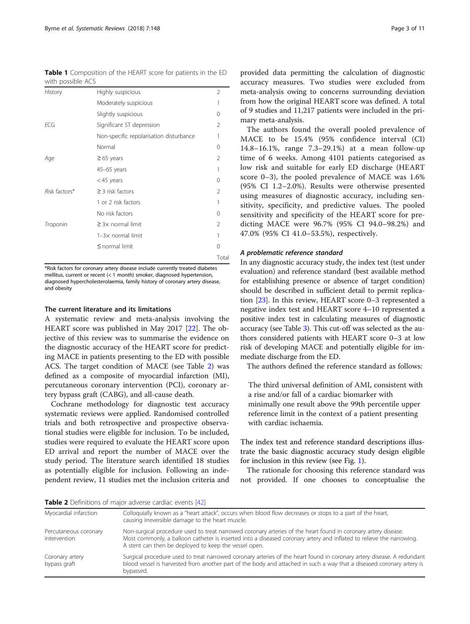<span id="page-2-0"></span>Table 1 Composition of the HEART score for patients in the ED with possible ACS

| History       | Highly suspicious                       | 2              |
|---------------|-----------------------------------------|----------------|
|               | Moderately suspicious                   | 1              |
|               | Slightly suspicious                     | 0              |
| <b>ECG</b>    | Significant ST depression               | 2              |
|               | Non-specific repolarisation disturbance |                |
|               | Normal                                  | 0              |
| Age           | $\geq 65$ years                         | $\mathcal{P}$  |
|               | $45-65$ years                           | 1              |
|               | $<$ 45 years                            | 0              |
| Risk factors* | $\geq$ 3 risk factors                   | 2              |
|               | 1 or 2 risk factors                     | 1              |
|               | No risk factors                         | $\Omega$       |
| Troponin      | $\geq$ 3 $\times$ normal limit          | $\mathfrak{D}$ |
|               | $1-3\times$ normal limit                | 1              |
|               | $\leq$ normal limit                     | $\Omega$       |
|               |                                         | Total          |

\*Risk factors for coronary artery disease include currently treated diabetes mellitus, current or recent (< 1 month) smoker, diagnosed hypertension, diagnosed hypercholesterolaemia, family history of coronary artery disease, and obesity

### The current literature and its limitations

A systematic review and meta-analysis involving the HEART score was published in May 2017 [\[22](#page-10-0)]. The objective of this review was to summarise the evidence on the diagnostic accuracy of the HEART score for predicting MACE in patients presenting to the ED with possible ACS. The target condition of MACE (see Table 2) was defined as a composite of myocardial infarction (MI), percutaneous coronary intervention (PCI), coronary artery bypass graft (CABG), and all-cause death.

Cochrane methodology for diagnostic test accuracy systematic reviews were applied. Randomised controlled trials and both retrospective and prospective observational studies were eligible for inclusion. To be included, studies were required to evaluate the HEART score upon ED arrival and report the number of MACE over the study period. The literature search identified 18 studies as potentially eligible for inclusion. Following an independent review, 11 studies met the inclusion criteria and

provided data permitting the calculation of diagnostic accuracy measures. Two studies were excluded from meta-analysis owing to concerns surrounding deviation from how the original HEART score was defined. A total of 9 studies and 11,217 patients were included in the primary meta-analysis.

The authors found the overall pooled prevalence of MACE to be 15.4% (95% confidence interval (CI) 14.8–16.1%, range 7.3–29.1%) at a mean follow-up time of 6 weeks. Among 4101 patients categorised as low risk and suitable for early ED discharge (HEART score 0–3), the pooled prevalence of MACE was 1.6% (95% CI 1.2–2.0%). Results were otherwise presented using measures of diagnostic accuracy, including sensitivity, specificity, and predictive values. The pooled sensitivity and specificity of the HEART score for predicting MACE were 96.7% (95% CI 94.0–98.2%) and 47.0% (95% CI 41.0–53.5%), respectively.

### A problematic reference standard

In any diagnostic accuracy study, the index test (test under evaluation) and reference standard (best available method for establishing presence or absence of target condition) should be described in sufficient detail to permit replication [\[23\]](#page-10-0). In this review, HEART score 0–3 represented a negative index test and HEART score 4–10 represented a positive index test in calculating measures of diagnostic accuracy (see Table [3](#page-3-0)). This cut-off was selected as the authors considered patients with HEART score 0–3 at low risk of developing MACE and potentially eligible for immediate discharge from the ED.

The authors defined the reference standard as follows:

The third universal definition of AMI, consistent with a rise and/or fall of a cardiac biomarker with minimally one result above the 99th percentile upper reference limit in the context of a patient presenting with cardiac ischaemia.

The index test and reference standard descriptions illustrate the basic diagnostic accuracy study design eligible for inclusion in this review (see Fig. [1\)](#page-3-0).

The rationale for choosing this reference standard was not provided. If one chooses to conceptualise the

Table 2 Definitions of major adverse cardiac events [[42\]](#page-10-0)

| Myocardial infarction                 | Colloquially known as a "heart attack", occurs when blood flow decreases or stops to a part of the heart,<br>causing irreversible damage to the heart muscle.                                                                                                                                   |  |
|---------------------------------------|-------------------------------------------------------------------------------------------------------------------------------------------------------------------------------------------------------------------------------------------------------------------------------------------------|--|
| Percutaneous coronary<br>intervention | Non-surgical procedure used to treat narrowed coronary arteries of the heart found in coronary artery disease.<br>Most commonly, a balloon catheter is inserted into a diseased coronary artery and inflated to relieve the narrowing.<br>A stent can then be deployed to keep the vessel open. |  |
| Coronary artery<br>bypass graft       | Surgical procedure used to treat narrowed coronary arteries of the heart found in coronary artery disease. A redundant<br>blood vessel is harvested from another part of the body and attached in such a way that a diseased coronary artery is<br>bypassed.                                    |  |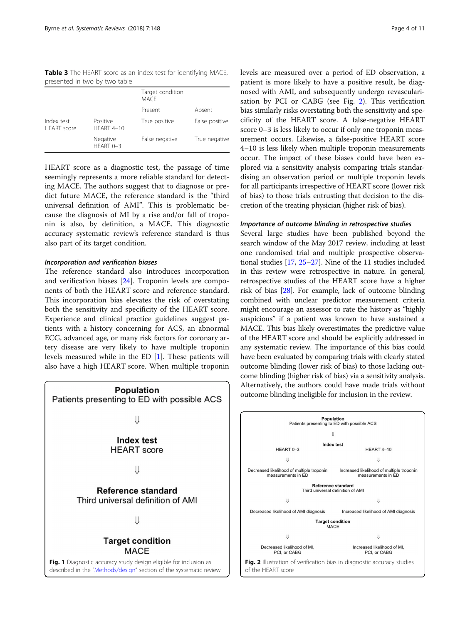<span id="page-3-0"></span>Table 3 The HEART score as an index test for identifying MACE, presented in two by two table

|                                  |                               | Target condition<br><b>MACF</b> |                |
|----------------------------------|-------------------------------|---------------------------------|----------------|
|                                  |                               | Present                         | Absent         |
| Index test<br><b>HFART</b> score | Positive<br><b>HFART 4-10</b> | True positive                   | False positive |
|                                  | Negative<br>HFART 0-3         | False negative                  | True negative  |

HEART score as a diagnostic test, the passage of time seemingly represents a more reliable standard for detecting MACE. The authors suggest that to diagnose or predict future MACE, the reference standard is the "third universal definition of AMI". This is problematic because the diagnosis of MI by a rise and/or fall of troponin is also, by definition, a MACE. This diagnostic accuracy systematic review's reference standard is thus also part of its target condition.

# Incorporation and verification biases

The reference standard also introduces incorporation and verification biases [\[24](#page-10-0)]. Troponin levels are components of both the HEART score and reference standard. This incorporation bias elevates the risk of overstating both the sensitivity and specificity of the HEART score. Experience and clinical practice guidelines suggest patients with a history concerning for ACS, an abnormal ECG, advanced age, or many risk factors for coronary artery disease are very likely to have multiple troponin levels measured while in the ED [\[1](#page-9-0)]. These patients will also have a high HEART score. When multiple troponin



levels are measured over a period of ED observation, a patient is more likely to have a positive result, be diagnosed with AMI, and subsequently undergo revascularisation by PCI or CABG (see Fig. 2). This verification bias similarly risks overstating both the sensitivity and specificity of the HEART score. A false-negative HEART score 0–3 is less likely to occur if only one troponin measurement occurs. Likewise, a false-positive HEART score 4–10 is less likely when multiple troponin measurements occur. The impact of these biases could have been explored via a sensitivity analysis comparing trials standardising an observation period or multiple troponin levels for all participants irrespective of HEART score (lower risk of bias) to those trials entrusting that decision to the discretion of the treating physician (higher risk of bias).

## Importance of outcome blinding in retrospective studies

Several large studies have been published beyond the search window of the May 2017 review, including at least one randomised trial and multiple prospective observational studies [\[17,](#page-10-0) [25](#page-10-0)–[27\]](#page-10-0). Nine of the 11 studies included in this review were retrospective in nature. In general, retrospective studies of the HEART score have a higher risk of bias [[28](#page-10-0)]. For example, lack of outcome blinding combined with unclear predictor measurement criteria might encourage an assessor to rate the history as "highly suspicious" if a patient was known to have sustained a MACE. This bias likely overestimates the predictive value of the HEART score and should be explicitly addressed in any systematic review. The importance of this bias could have been evaluated by comparing trials with clearly stated outcome blinding (lower risk of bias) to those lacking outcome blinding (higher risk of bias) via a sensitivity analysis. Alternatively, the authors could have made trials without outcome blinding ineligible for inclusion in the review.

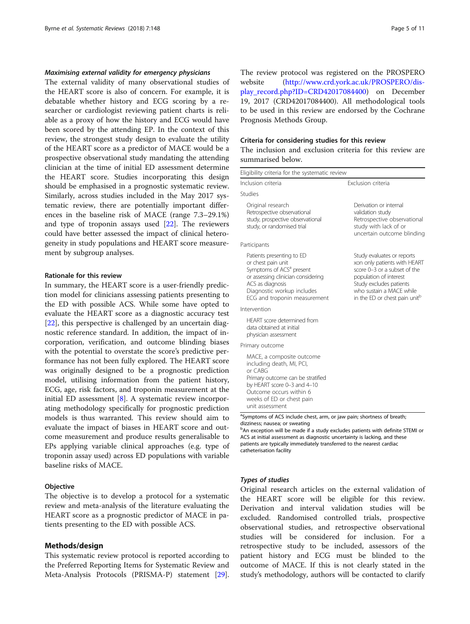# <span id="page-4-0"></span>Maximising external validity for emergency physicians

The external validity of many observational studies of the HEART score is also of concern. For example, it is debatable whether history and ECG scoring by a researcher or cardiologist reviewing patient charts is reliable as a proxy of how the history and ECG would have been scored by the attending EP. In the context of this review, the strongest study design to evaluate the utility of the HEART score as a predictor of MACE would be a prospective observational study mandating the attending clinician at the time of initial ED assessment determine the HEART score. Studies incorporating this design should be emphasised in a prognostic systematic review. Similarly, across studies included in the May 2017 systematic review, there are potentially important differences in the baseline risk of MACE (range 7.3–29.1%) and type of troponin assays used  $[22]$  $[22]$ . The reviewers could have better assessed the impact of clinical heterogeneity in study populations and HEART score measurement by subgroup analyses.

# Rationale for this review

In summary, the HEART score is a user-friendly prediction model for clinicians assessing patients presenting to the ED with possible ACS. While some have opted to evaluate the HEART score as a diagnostic accuracy test [[22\]](#page-10-0), this perspective is challenged by an uncertain diagnostic reference standard. In addition, the impact of incorporation, verification, and outcome blinding biases with the potential to overstate the score's predictive performance has not been fully explored. The HEART score was originally designed to be a prognostic prediction model, utilising information from the patient history, ECG, age, risk factors, and troponin measurement at the initial ED assessment [[8\]](#page-9-0). A systematic review incorporating methodology specifically for prognostic prediction models is thus warranted. This review should aim to evaluate the impact of biases in HEART score and outcome measurement and produce results generalisable to EPs applying variable clinical approaches (e.g. type of troponin assay used) across ED populations with variable baseline risks of MACE.

# **Objective**

The objective is to develop a protocol for a systematic review and meta-analysis of the literature evaluating the HEART score as a prognostic predictor of MACE in patients presenting to the ED with possible ACS.

# Methods/design

This systematic review protocol is reported according to the Preferred Reporting Items for Systematic Review and Meta-Analysis Protocols (PRISMA-P) statement [\[29](#page-10-0)]. The review protocol was registered on the PROSPERO website [\(http://www.crd.york.ac.uk/PROSPERO/dis](http://www.crd.york.ac.uk/PROSPERO/display_record.php?ID=CRD42017084400)[play\\_record.php?ID=CRD42017084400](http://www.crd.york.ac.uk/PROSPERO/display_record.php?ID=CRD42017084400)) on December 19, 2017 (CRD42017084400). All methodological tools to be used in this review are endorsed by the Cochrane Prognosis Methods Group.

### Criteria for considering studies for this review

The inclusion and exclusion criteria for this review are summarised below.

| Eligibility criteria for the systematic review                                                                                                                                                                   |                                                                                                                                                                                                              |
|------------------------------------------------------------------------------------------------------------------------------------------------------------------------------------------------------------------|--------------------------------------------------------------------------------------------------------------------------------------------------------------------------------------------------------------|
| Inclusion criteria                                                                                                                                                                                               | Exclusion criteria                                                                                                                                                                                           |
| Studies                                                                                                                                                                                                          |                                                                                                                                                                                                              |
| Original research<br>Retrospective observational<br>study, prospective observational<br>study, or randomised trial                                                                                               | Derivation or internal<br>validation study<br>Retrospective observational<br>study with lack of or<br>uncertain outcome blinding                                                                             |
| Participants                                                                                                                                                                                                     |                                                                                                                                                                                                              |
| Patients presenting to ED<br>or chest pain unit<br>Symptoms of ACS <sup>a</sup> present<br>or assessing clinician considering<br>ACS as diagnosis<br>Diagnostic workup includes<br>ECG and troponin measurement  | Study evaluates or reports<br>xon only patients with HEART<br>score 0-3 or a subset of the<br>population of interest<br>Study excludes patients<br>who sustain a MACE while<br>in the ED or chest pain unitb |
| Intervention                                                                                                                                                                                                     |                                                                                                                                                                                                              |
| <b>HEART</b> score determined from<br>data obtained at initial<br>physician assessment                                                                                                                           |                                                                                                                                                                                                              |
| Primary outcome                                                                                                                                                                                                  |                                                                                                                                                                                                              |
| MACE, a composite outcome<br>including death, MI, PCI,<br>or CABG<br>Primary outcome can be stratified<br>by HEART score 0-3 and 4-10<br>Outcome occurs within 6<br>weeks of ED or chest pain<br>unit assessment |                                                                                                                                                                                                              |

<sup>a</sup>Symptoms of ACS include chest, arm, or jaw pain; shortness of breath; dizziness; nausea; or sweating

**bAn exception will be made if a study excludes patients with definite STEMI or** ACS at initial assessment as diagnostic uncertainty is lacking, and these patients are typically immediately transferred to the nearest cardiac catheterisation facility

### Types of studies

Original research articles on the external validation of the HEART score will be eligible for this review. Derivation and interval validation studies will be excluded. Randomised controlled trials, prospective observational studies, and retrospective observational studies will be considered for inclusion. For a retrospective study to be included, assessors of the patient history and ECG must be blinded to the outcome of MACE. If this is not clearly stated in the study's methodology, authors will be contacted to clarify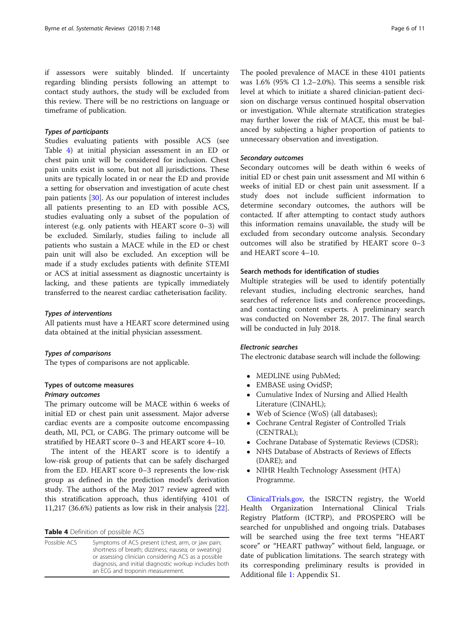if assessors were suitably blinded. If uncertainty regarding blinding persists following an attempt to contact study authors, the study will be excluded from this review. There will be no restrictions on language or timeframe of publication.

# Types of participants

Studies evaluating patients with possible ACS (see Table 4) at initial physician assessment in an ED or chest pain unit will be considered for inclusion. Chest pain units exist in some, but not all jurisdictions. These units are typically located in or near the ED and provide a setting for observation and investigation of acute chest pain patients [[30\]](#page-10-0). As our population of interest includes all patients presenting to an ED with possible ACS, studies evaluating only a subset of the population of interest (e.g. only patients with HEART score 0–3) will be excluded. Similarly, studies failing to include all patients who sustain a MACE while in the ED or chest pain unit will also be excluded. An exception will be made if a study excludes patients with definite STEMI or ACS at initial assessment as diagnostic uncertainty is lacking, and these patients are typically immediately transferred to the nearest cardiac catheterisation facility.

# Types of interventions

All patients must have a HEART score determined using data obtained at the initial physician assessment.

### Types of comparisons

The types of comparisons are not applicable.

# Types of outcome measures

# Primary outcomes

The primary outcome will be MACE within 6 weeks of initial ED or chest pain unit assessment. Major adverse cardiac events are a composite outcome encompassing death, MI, PCI, or CABG. The primary outcome will be stratified by HEART score 0–3 and HEART score 4–10.

The intent of the HEART score is to identify a low-risk group of patients that can be safely discharged from the ED. HEART score 0–3 represents the low-risk group as defined in the prediction model's derivation study. The authors of the May 2017 review agreed with this stratification approach, thus identifying 4101 of 11,217 (36.6%) patients as low risk in their analysis [\[22](#page-10-0)].

Table 4 Definition of possible ACS

| Possible ACS | Symptoms of ACS present (chest, arm, or jaw pain;      |
|--------------|--------------------------------------------------------|
|              | shortness of breath; dizziness; nausea; or sweating)   |
|              | or assessing clinician considering ACS as a possible   |
|              | diagnosis, and initial diagnostic workup includes both |
|              | an ECG and troponin measurement.                       |

The pooled prevalence of MACE in these 4101 patients was 1.6% (95% CI 1.2–2.0%). This seems a sensible risk level at which to initiate a shared clinician-patient decision on discharge versus continued hospital observation or investigation. While alternate stratification strategies may further lower the risk of MACE, this must be balanced by subjecting a higher proportion of patients to unnecessary observation and investigation.

# Secondary outcomes

Secondary outcomes will be death within 6 weeks of initial ED or chest pain unit assessment and MI within 6 weeks of initial ED or chest pain unit assessment. If a study does not include sufficient information to determine secondary outcomes, the authors will be contacted. If after attempting to contact study authors this information remains unavailable, the study will be excluded from secondary outcome analysis. Secondary outcomes will also be stratified by HEART score 0–3 and HEART score 4–10.

# Search methods for identification of studies

Multiple strategies will be used to identify potentially relevant studies, including electronic searches, hand searches of reference lists and conference proceedings, and contacting content experts. A preliminary search was conducted on November 28, 2017. The final search will be conducted in July 2018.

# Electronic searches

The electronic database search will include the following:

- MEDLINE using PubMed;
- EMBASE using OvidSP;
- Cumulative Index of Nursing and Allied Health Literature (CINAHL);
- Web of Science (WoS) (all databases);
- Cochrane Central Register of Controlled Trials (CENTRAL);
- Cochrane Database of Systematic Reviews (CDSR);
- NHS Database of Abstracts of Reviews of Effects (DARE); and
- NIHR Health Technology Assessment (HTA) Programme.

[ClinicalTrials.gov,](http://clinicaltrials.gov) the ISRCTN registry, the World Health Organization International Clinical Trials Registry Platform (ICTRP), and PROSPERO will be searched for unpublished and ongoing trials. Databases will be searched using the free text terms "HEART score" or "HEART pathway" without field, language, or date of publication limitations. The search strategy with its corresponding preliminary results is provided in Additional file [1](#page-9-0): Appendix S1.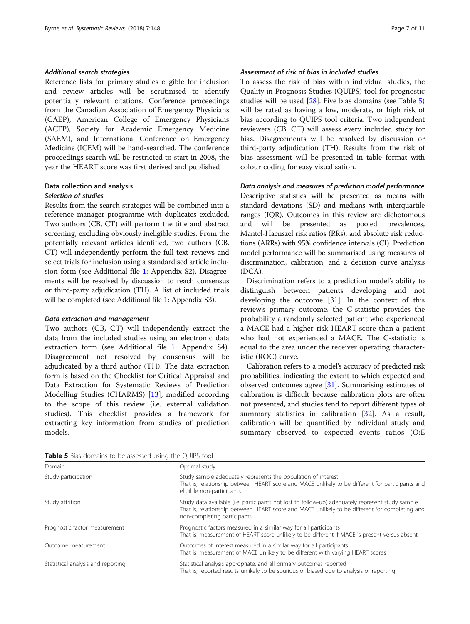# <span id="page-6-0"></span>Additional search strategies

Reference lists for primary studies eligible for inclusion and review articles will be scrutinised to identify potentially relevant citations. Conference proceedings from the Canadian Association of Emergency Physicians (CAEP), American College of Emergency Physicians (ACEP), Society for Academic Emergency Medicine (SAEM), and International Conference on Emergency Medicine (ICEM) will be hand-searched. The conference proceedings search will be restricted to start in 2008, the year the HEART score was first derived and published

# Data collection and analysis Selection of studies

Results from the search strategies will be combined into a reference manager programme with duplicates excluded. Two authors (CB, CT) will perform the title and abstract screening, excluding obviously ineligible studies. From the potentially relevant articles identified, two authors (CB, CT) will independently perform the full-text reviews and select trials for inclusion using a standardised article inclusion form (see Additional file [1](#page-9-0): Appendix S2). Disagreements will be resolved by discussion to reach consensus or third-party adjudication (TH). A list of included trials will be completed (see Additional file [1](#page-9-0): Appendix S3).

# Data extraction and management

Two authors (CB, CT) will independently extract the data from the included studies using an electronic data extraction form (see Additional file [1](#page-9-0): Appendix S4). Disagreement not resolved by consensus will be adjudicated by a third author (TH). The data extraction form is based on the Checklist for Critical Appraisal and Data Extraction for Systematic Reviews of Prediction Modelling Studies (CHARMS) [\[13](#page-10-0)], modified according to the scope of this review (i.e. external validation studies). This checklist provides a framework for extracting key information from studies of prediction models.

# Assessment of risk of bias in included studies

To assess the risk of bias within individual studies, the Quality in Prognosis Studies (QUIPS) tool for prognostic studies will be used [[28](#page-10-0)]. Five bias domains (see Table 5) will be rated as having a low, moderate, or high risk of bias according to QUIPS tool criteria. Two independent reviewers (CB, CT) will assess every included study for bias. Disagreements will be resolved by discussion or third-party adjudication (TH). Results from the risk of bias assessment will be presented in table format with colour coding for easy visualisation.

# Data analysis and measures of prediction model performance

Descriptive statistics will be presented as means with standard deviations (SD) and medians with interquartile ranges (IQR). Outcomes in this review are dichotomous and will be presented as pooled prevalences, Mantel-Haenszel risk ratios (RRs), and absolute risk reductions (ARRs) with 95% confidence intervals (CI). Prediction model performance will be summarised using measures of discrimination, calibration, and a decision curve analysis (DCA).

Discrimination refers to a prediction model's ability to distinguish between patients developing and not developing the outcome [[31](#page-10-0)]. In the context of this review's primary outcome, the C-statistic provides the probability a randomly selected patient who experienced a MACE had a higher risk HEART score than a patient who had not experienced a MACE. The C-statistic is equal to the area under the receiver operating characteristic (ROC) curve.

Calibration refers to a model's accuracy of predicted risk probabilities, indicating the extent to which expected and observed outcomes agree [[31](#page-10-0)]. Summarising estimates of calibration is difficult because calibration plots are often not presented, and studies tend to report different types of summary statistics in calibration  $[32]$  $[32]$ . As a result, calibration will be quantified by individual study and summary observed to expected events ratios (O:E

Table 5 Bias domains to be assessed using the QUIPS tool

| Domain                             | Optimal study                                                                                                                                                                                                                     |  |
|------------------------------------|-----------------------------------------------------------------------------------------------------------------------------------------------------------------------------------------------------------------------------------|--|
| Study participation                | Study sample adequately represents the population of interest<br>That is, relationship between HEART score and MACE unlikely to be different for participants and<br>eligible non-participants                                    |  |
| Study attrition                    | Study data available (i.e. participants not lost to follow-up) adequately represent study sample<br>That is, relationship between HEART score and MACE unlikely to be different for completing and<br>non-completing participants |  |
| Prognostic factor measurement      | Prognostic factors measured in a similar way for all participants<br>That is, measurement of HEART score unlikely to be different if MACE is present versus absent                                                                |  |
| Outcome measurement                | Outcomes of interest measured in a similar way for all participants<br>That is, measurement of MACE unlikely to be different with varying HEART scores                                                                            |  |
| Statistical analysis and reporting | Statistical analysis appropriate, and all primary outcomes reported<br>That is, reported results unlikely to be spurious or biased due to analysis or reporting                                                                   |  |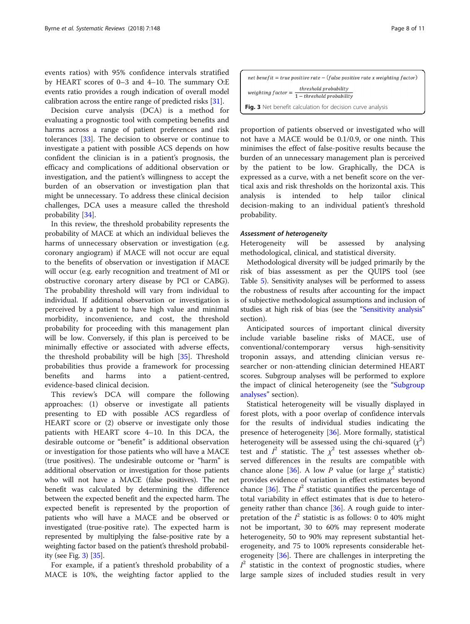events ratios) with 95% confidence intervals stratified by HEART scores of 0–3 and 4–10. The summary O:E events ratio provides a rough indication of overall model calibration across the entire range of predicted risks [\[31\]](#page-10-0).

Decision curve analysis (DCA) is a method for evaluating a prognostic tool with competing benefits and harms across a range of patient preferences and risk tolerances [\[33](#page-10-0)]. The decision to observe or continue to investigate a patient with possible ACS depends on how confident the clinician is in a patient's prognosis, the efficacy and complications of additional observation or investigation, and the patient's willingness to accept the burden of an observation or investigation plan that might be unnecessary. To address these clinical decision challenges, DCA uses a measure called the threshold probability [[34\]](#page-10-0).

In this review, the threshold probability represents the probability of MACE at which an individual believes the harms of unnecessary observation or investigation (e.g. coronary angiogram) if MACE will not occur are equal to the benefits of observation or investigation if MACE will occur (e.g. early recognition and treatment of MI or obstructive coronary artery disease by PCI or CABG). The probability threshold will vary from individual to individual. If additional observation or investigation is perceived by a patient to have high value and minimal morbidity, inconvenience, and cost, the threshold probability for proceeding with this management plan will be low. Conversely, if this plan is perceived to be minimally effective or associated with adverse effects, the threshold probability will be high [\[35](#page-10-0)]. Threshold probabilities thus provide a framework for processing benefits and harms into a patient-centred, evidence-based clinical decision.

This review's DCA will compare the following approaches: (1) observe or investigate all patients presenting to ED with possible ACS regardless of HEART score or (2) observe or investigate only those patients with HEART score 4–10. In this DCA, the desirable outcome or "benefit" is additional observation or investigation for those patients who will have a MACE (true positives). The undesirable outcome or "harm" is additional observation or investigation for those patients who will not have a MACE (false positives). The net benefit was calculated by determining the difference between the expected benefit and the expected harm. The expected benefit is represented by the proportion of patients who will have a MACE and be observed or investigated (true-positive rate). The expected harm is represented by multiplying the false-positive rate by a weighting factor based on the patient's threshold probability (see Fig. 3) [[35](#page-10-0)].

For example, if a patient's threshold probability of a MACE is 10%, the weighting factor applied to the

| net benefit = true positive rate $-$ (false positive rate x weighting factor)                             |
|-----------------------------------------------------------------------------------------------------------|
| threshold probability<br>weighting $factor = \frac{1 - threshold probability}{1 - threshold probability}$ |
| Fig. 3 Net benefit calculation for decision curve analysis                                                |

proportion of patients observed or investigated who will not have a MACE would be 0.1/0.9, or one ninth. This minimises the effect of false-positive results because the burden of an unnecessary management plan is perceived by the patient to be low. Graphically, the DCA is expressed as a curve, with a net benefit score on the vertical axis and risk thresholds on the horizontal axis. This analysis is intended to help tailor clinical decision-making to an individual patient's threshold probability.

### Assessment of heterogeneity

Heterogeneity will be assessed by analysing methodological, clinical, and statistical diversity.

Methodological diversity will be judged primarily by the risk of bias assessment as per the QUIPS tool (see Table [5](#page-6-0)). Sensitivity analyses will be performed to assess the robustness of results after accounting for the impact of subjective methodological assumptions and inclusion of studies at high risk of bias (see the "[Sensitivity analysis](#page-8-0)" section).

Anticipated sources of important clinical diversity include variable baseline risks of MACE, use of conventional/contemporary versus high-sensitivity troponin assays, and attending clinician versus researcher or non-attending clinician determined HEART scores. Subgroup analyses will be performed to explore the impact of clinical heterogeneity (see the "[Subgroup](#page-8-0)" [analyses](#page-8-0)" section).

Statistical heterogeneity will be visually displayed in forest plots, with a poor overlap of confidence intervals for the results of individual studies indicating the presence of heterogeneity [\[36\]](#page-10-0). More formally, statistical heterogeneity will be assessed using the chi-squared  $(\chi^2)$ test and  $I^2$  statistic. The  $\chi^2$  test assesses whether observed differences in the results are compatible with chance alone [[36\]](#page-10-0). A low P value (or large  $\chi^2$  statistic) provides evidence of variation in effect estimates beyond chance [[36\]](#page-10-0). The  $I^2$  statistic quantifies the percentage of total variability in effect estimates that is due to heterogeneity rather than chance [\[36\]](#page-10-0). A rough guide to interpretation of the  $I^2$  statistic is as follows: 0 to 40% might not be important, 30 to 60% may represent moderate heterogeneity, 50 to 90% may represent substantial heterogeneity, and 75 to 100% represents considerable heterogeneity [[36\]](#page-10-0). There are challenges in interpreting the  $I^2$  statistic in the context of prognostic studies, where large sample sizes of included studies result in very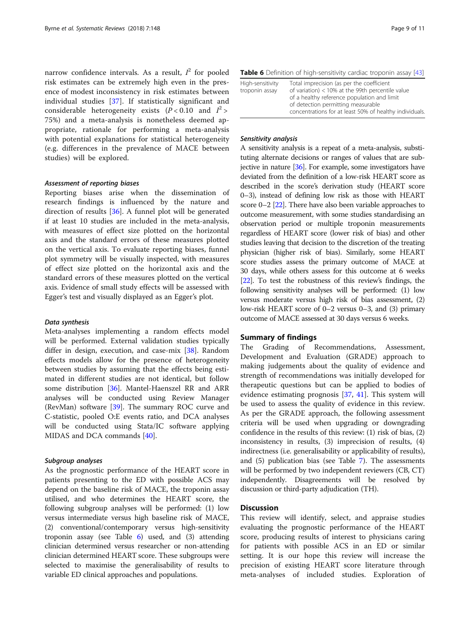<span id="page-8-0"></span>narrow confidence intervals. As a result,  $I^2$  for pooled risk estimates can be extremely high even in the presence of modest inconsistency in risk estimates between individual studies [[37\]](#page-10-0). If statistically significant and considerable heterogeneity exists  $(P < 0.10$  and  $I^2 >$ 75%) and a meta-analysis is nonetheless deemed appropriate, rationale for performing a meta-analysis with potential explanations for statistical heterogeneity (e.g. differences in the prevalence of MACE between studies) will be explored.

# Assessment of reporting biases

Reporting biases arise when the dissemination of research findings is influenced by the nature and direction of results [[36\]](#page-10-0). A funnel plot will be generated if at least 10 studies are included in the meta-analysis, with measures of effect size plotted on the horizontal axis and the standard errors of these measures plotted on the vertical axis. To evaluate reporting biases, funnel plot symmetry will be visually inspected, with measures of effect size plotted on the horizontal axis and the standard errors of these measures plotted on the vertical axis. Evidence of small study effects will be assessed with Egger's test and visually displayed as an Egger's plot.

# Data synthesis

Meta-analyses implementing a random effects model will be performed. External validation studies typically differ in design, execution, and case-mix [[38](#page-10-0)]. Random effects models allow for the presence of heterogeneity between studies by assuming that the effects being estimated in different studies are not identical, but follow some distribution [\[36](#page-10-0)]. Mantel-Haenszel RR and ARR analyses will be conducted using Review Manager (RevMan) software [[39\]](#page-10-0). The summary ROC curve and C-statistic, pooled O:E events ratio, and DCA analyses will be conducted using Stata/IC software applying MIDAS and DCA commands [[40\]](#page-10-0).

## Subgroup analyses

As the prognostic performance of the HEART score in patients presenting to the ED with possible ACS may depend on the baseline risk of MACE, the troponin assay utilised, and who determines the HEART score, the following subgroup analyses will be performed: (1) low versus intermediate versus high baseline risk of MACE, (2) conventional/contemporary versus high-sensitivity troponin assay (see Table 6) used, and (3) attending clinician determined versus researcher or non-attending clinician determined HEART score. These subgroups were selected to maximise the generalisability of results to variable ED clinical approaches and populations.

| Table 6 Definition of high-sensitivity cardiac troponin assay [43] |  |  |
|--------------------------------------------------------------------|--|--|
|--------------------------------------------------------------------|--|--|

| High-sensitivity | Total imprecision (as per the coefficient               |
|------------------|---------------------------------------------------------|
| troponin assay   | of variation) < 10% at the 99th percentile value        |
|                  | of a healthy reference population and limit             |
|                  | of detection permitting measurable                      |
|                  | concentrations for at least 50% of healthy individuals. |
|                  |                                                         |

# Sensitivity analysis

A sensitivity analysis is a repeat of a meta-analysis, substituting alternate decisions or ranges of values that are subjective in nature [\[36\]](#page-10-0). For example, some investigators have deviated from the definition of a low-risk HEART score as described in the score's derivation study (HEART score 0–3), instead of defining low risk as those with HEART score  $0-2$  [ $22$ ]. There have also been variable approaches to outcome measurement, with some studies standardising an observation period or multiple troponin measurements regardless of HEART score (lower risk of bias) and other studies leaving that decision to the discretion of the treating physician (higher risk of bias). Similarly, some HEART score studies assess the primary outcome of MACE at 30 days, while others assess for this outcome at 6 weeks [[22](#page-10-0)]. To test the robustness of this review's findings, the following sensitivity analyses will be performed: (1) low versus moderate versus high risk of bias assessment, (2) low-risk HEART score of 0–2 versus 0–3, and (3) primary outcome of MACE assessed at 30 days versus 6 weeks.

# Summary of findings

The Grading of Recommendations, Assessment, Development and Evaluation (GRADE) approach to making judgements about the quality of evidence and strength of recommendations was initially developed for therapeutic questions but can be applied to bodies of evidence estimating prognosis [\[37](#page-10-0), [41\]](#page-10-0). This system will be used to assess the quality of evidence in this review. As per the GRADE approach, the following assessment criteria will be used when upgrading or downgrading confidence in the results of this review: (1) risk of bias, (2) inconsistency in results, (3) imprecision of results, (4) indirectness (i.e. generalisability or applicability of results), and (5) publication bias (see Table [7](#page-9-0)). The assessments will be performed by two independent reviewers (CB, CT) independently. Disagreements will be resolved by discussion or third-party adjudication (TH).

# **Discussion**

This review will identify, select, and appraise studies evaluating the prognostic performance of the HEART score, producing results of interest to physicians caring for patients with possible ACS in an ED or similar setting. It is our hope this review will increase the precision of existing HEART score literature through meta-analyses of included studies. Exploration of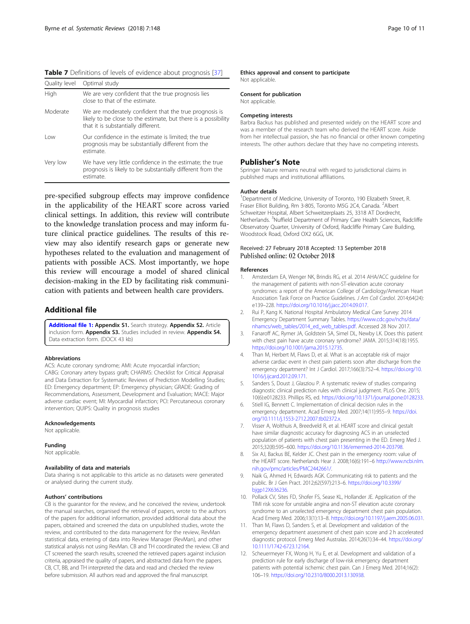<span id="page-9-0"></span>

| Table 7 Definitions of levels of evidence about prognosis [37] |  |  |  |
|----------------------------------------------------------------|--|--|--|
|----------------------------------------------------------------|--|--|--|

| Quality level | Optimal study                                                                                                                                                   |
|---------------|-----------------------------------------------------------------------------------------------------------------------------------------------------------------|
| High          | We are very confident that the true prognosis lies<br>close to that of the estimate.                                                                            |
| Moderate      | We are moderately confident that the true prognosis is<br>likely to be close to the estimate, but there is a possibility<br>that it is substantially different. |
| l ow          | Our confidence in the estimate is limited; the true<br>prognosis may be substantially different from the<br>estimate.                                           |
| Very low      | We have very little confidence in the estimate; the true<br>prognosis is likely to be substantially different from the<br>estimate.                             |
|               |                                                                                                                                                                 |

pre-specified subgroup effects may improve confidence in the applicability of the HEART score across varied clinical settings. In addition, this review will contribute to the knowledge translation process and may inform future clinical practice guidelines. The results of this review may also identify research gaps or generate new hypotheses related to the evaluation and management of patients with possible ACS. Most importantly, we hope this review will encourage a model of shared clinical decision-making in the ED by facilitating risk communication with patients and between health care providers.

# Additional file

[Additional file 1:](https://doi.org/10.1186/s13643-018-0816-4) Appendix S1. Search strategy. Appendix S2. Article inclusion form. Appendix S3. Studies included in review. Appendix S4. Data extraction form. (DOCX 43 kb)

### Abbreviations

ACS: Acute coronary syndrome; AMI: Acute myocardial infarction; CABG: Coronary artery bypass graft; CHARMS: Checklist for Critical Appraisal and Data Extraction for Systematic Reviews of Prediction Modelling Studies; ED: Emergency department; EP: Emergency physician; GRADE: Grading of Recommendations, Assessment, Development and Evaluation; MACE: Major adverse cardiac event; MI: Myocardial infarction; PCI: Percutaneous coronary intervention; QUIPS: Quality in prognosis studies

# Acknowledgements

Not applicable.

### Funding

Not applicable.

### Availability of data and materials

Data sharing is not applicable to this article as no datasets were generated or analysed during the current study.

### Authors' contributions

CB is the guarantor for the review, and he conceived the review, undertook the manual searches, organised the retrieval of papers, wrote to the authors of the papers for additional information, provided additional data about the papers, obtained and screened the data on unpublished studies, wrote the review, and contributed to the data management for the review, RevMan statistical data, entering of data into Review Manager (RevMan), and other statistical analysis not using RevMan. CB and TH coordinated the review. CB and CT screened the search results, screened the retrieved papers against inclusion criteria, appraised the quality of papers, and abstracted data from the papers. CB, CT, BB, and TH interpreted the data and read and checked the review before submission. All authors read and approved the final manuscript.

### Ethics approval and consent to participate Not applicable.

Consent for publication Not applicable.

### Competing interests

Barbra Backus has published and presented widely on the HEART score and was a member of the research team who derived the HEART score. Aside from her intellectual passion, she has no financial or other known competing interests. The other authors declare that they have no competing interests.

# Publisher's Note

Springer Nature remains neutral with regard to jurisdictional claims in published maps and institutional affiliations.

### Author details

<sup>1</sup>Department of Medicine, University of Toronto, 190 Elizabeth Street, R Fraser Elliot Building, Rm 3-805, Toronto M5G 2C4, Canada. <sup>2</sup>Albert Schweitzer Hospital, Albert Schweitzerplaats 25, 3318 AT Dordrecht, Netherlands. <sup>3</sup>Nuffield Department of Primary Care Health Sciences, Radcliffe Observatory Quarter, University of Oxford, Radcliffe Primary Care Building, Woodstock Road, Oxford OX2 6GG, UK.

# Received: 27 February 2018 Accepted: 13 September 2018 Published online: 02 October 2018

### References

- 1. Amsterdam EA, Wenger NK, Brindis RG, et al. 2014 AHA/ACC guideline for the management of patients with non-ST-elevation acute coronary syndromes: a report of the American College of Cardiology/American Heart Association Task Force on Practice Guidelines. J Am Coll Cardiol. 2014;64(24): e139–228. [https://doi.org/10.1016/j.jacc.2014.09.017.](https://doi.org/10.1016/j.jacc.2014.09.017)
- 2. Rui P, Kang K. National Hospital Ambulatory Medical Care Survey: 2014 Emergency Department Summary Tables. [https://www.cdc.gov/nchs/data/](https://www.cdc.gov/nchs/data/nhamcs/web_tables/2014_ed_web_tables.pdf) [nhamcs/web\\_tables/2014\\_ed\\_web\\_tables.pdf.](https://www.cdc.gov/nchs/data/nhamcs/web_tables/2014_ed_web_tables.pdf) Accessed 28 Nov 2017.
- 3. Fanaroff AC, Rymer JA, Goldstein SA, Simel DL, Newby LK. Does this patient with chest pain have acute coronary syndrome? JAMA. 2015;314(18):1955. [https://doi.org/10.1001/jama.2015.12735.](https://doi.org/10.1001/jama.2015.12735)
- 4. Than M, Herbert M, Flaws D, et al. What is an acceptable risk of major adverse cardiac event in chest pain patients soon after discharge from the emergency department? Int J Cardiol. 2017;166(3):752–4. [https://doi.org/10.](https://doi.org/10.1016/j.ijcard.2012.09.171) [1016/j.ijcard.2012.09.171.](https://doi.org/10.1016/j.ijcard.2012.09.171)
- 5. Sanders S, Doust J, Glasziou P. A systematic review of studies comparing diagnostic clinical prediction rules with clinical judgment. PLoS One. 2015; 10(6):e0128233. Phillips RS, ed. [https://doi.org/10.1371/journal.pone.0128233.](https://doi.org/10.1371/journal.pone.0128233)
- 6. Stiell IG, Bennett C. Implementation of clinical decision rules in the emergency department. Acad Emerg Med. 2007;14(11):955–9. [https://doi.](https://doi.org/10.1111/j.1553-2712.2007.tb02372.x) [org/10.1111/j.1553-2712.2007.tb02372.x](https://doi.org/10.1111/j.1553-2712.2007.tb02372.x).
- 7. Visser A, Wolthuis A, Breedveld R, et al. HEART score and clinical gestalt have similar diagnostic accuracy for diagnosing ACS in an unselected population of patients with chest pain presenting in the ED. Emerg Med J. 2015;32(8):595–600. <https://doi.org/10.1136/emermed-2014-203798>.
- 8. Six AJ, Backus BE, Kelder JC. Chest pain in the emergency room: value of the HEART score. Netherlands Hear J. 2008;16(6):191–6 [http://www.ncbi.nlm.](http://www.ncbi.nlm.nih.gov/pmc/articles/PMC2442661/) [nih.gov/pmc/articles/PMC2442661/.](http://www.ncbi.nlm.nih.gov/pmc/articles/PMC2442661/)
- 9. Naik G, Ahmed H, Edwards AGK. Communicating risk to patients and the public. Br J Gen Pract. 2012;62(597):213–6. [https://doi.org/10.3399/](https://doi.org/10.3399/bjgp12X636236) [bjgp12X636236.](https://doi.org/10.3399/bjgp12X636236)
- 10. Pollack CV, Sites FD, Shofer FS, Sease KL, Hollander JE. Application of the TIMI risk score for unstable angina and non-ST elevation acute coronary syndrome to an unselected emergency department chest pain population. Acad Emerg Med. 2006;13(1):13–8. <https://doi.org/10.1197/j.aem.2005.06.031>.
- 11. Than M, Flaws D, Sanders S, et al. Development and validation of the emergency department assessment of chest pain score and 2 h accelerated diagnostic protocol. Emerg Med Australas. 2014;26(1):34–44. [https://doi.org/](https://doi.org/10.1111/1742-6723.12164) [10.1111/1742-6723.12164](https://doi.org/10.1111/1742-6723.12164).
- 12. Scheuermeyer FX, Wong H, Yu E, et al. Development and validation of a prediction rule for early discharge of low-risk emergency department patients with potential ischemic chest pain. Can J Emerg Med. 2014;16(2): 106–19. <https://doi.org/10.2310/8000.2013.130938>.